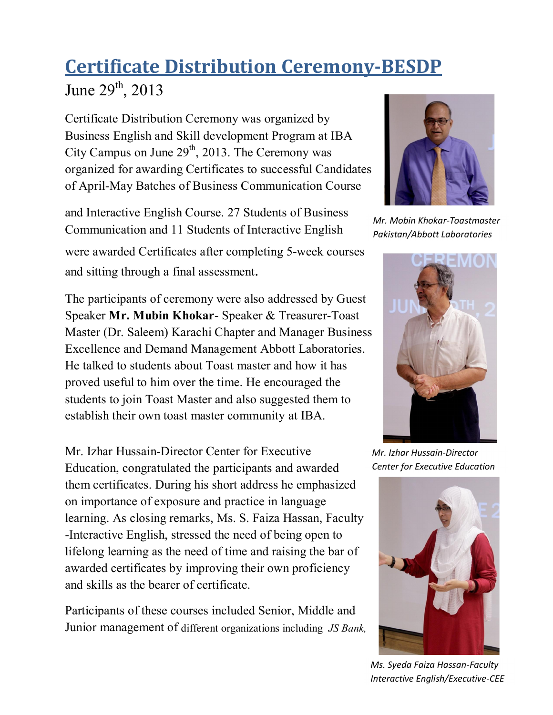## **Certificate Distribution Ceremony-BESDP**

June  $29^{th}$ ,  $2013$ 

Certificate Distribution Ceremony was organized by Business English and Skill development Program at IBA City Campus on June  $29<sup>th</sup>$ , 2013. The Ceremony was organized for awarding Certificates to successful Candidates of April-May Batches of Business Communication Course

and Interactive English Course. 27 Students of Business Communication and 11 Students of Interactive English were awarded Certificates after completing 5-week courses and sitting through a final assessment.

The participants of ceremony were also addressed by Guest Speaker **Mr. Mubin Khokar**- Speaker & Treasurer-Toast Master (Dr. Saleem) Karachi Chapter and Manager Business Excellence and Demand Management Abbott Laboratories. He talked to students about Toast master and how it has proved useful to him over the time. He encouraged the students to join Toast Master and also suggested them to establish their own toast master community at IBA.

Mr. Izhar Hussain-Director Center for Executive Education, congratulated the participants and awarded them certificates. During his short address he emphasized on importance of exposure and practice in language learning. As closing remarks, Ms. S. Faiza Hassan, Faculty -Interactive English, stressed the need of being open to lifelong learning as the need of time and raising the bar of awarded certificates by improving their own proficiency and skills as the bearer of certificate.

Participants of these courses included Senior, Middle and Junior management of different organizations including *JS Bank,* 



*Mr. Mobin Khokar-Toastmaster Pakistan/Abbott Laboratories*



*Mr. Izhar Hussain-Director Center for Executive Education*



*Ms. Syeda Faiza Hassan-Faculty Interactive English/Executive-CEE*